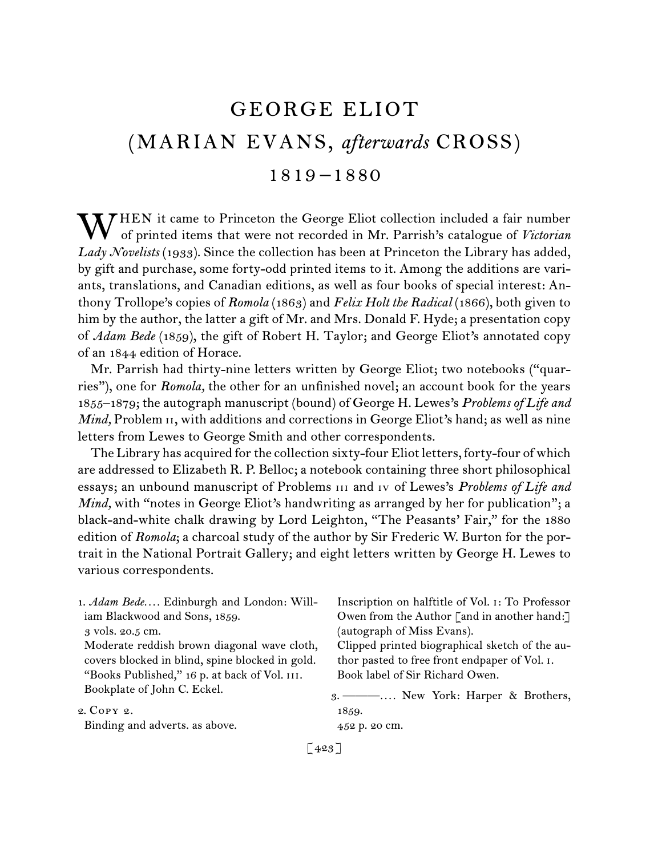# GEORGE ELIOT (MARIAN EVANS, *afterwards* CROSS) 1819 –1880

WHEN it came to Princeton the George Eliot collection included a fair number<br>of printed items that were not recorded in Mr. Parrish's catalogue of Victorian of printed items that were not recorded in Mr. Parrish's catalogue of *Victorian*  Lady Novelists (1933). Since the collection has been at Princeton the Library has added, by gift and purchase, some forty-odd printed items to it. Among the additions are variants, translations, and Canadian editions, as well as four books of special interest: Anthony Trollope's copies of *Romola* (1863) and *Felix Holt the Radical* (1866), both given to him by the author, the latter a gift of Mr. and Mrs. Donald F. Hyde; a presentation copy of *Adam Bede* (1859), the gift of Robert H. Taylor; and George Eliot's annotated copy of an 1844 edition of Horace.

Mr. Parrish had thirty-nine letters written by George Eliot; two notebooks ("quarries"), one for *Romola,* the other for an unfinished novel; an account book for the years 1855–1879; the autograph manuscript (bound) of George H. Lewes's *Problems of Life and Mind*, Problem 11, with additions and corrections in George Eliot's hand; as well as nine letters from Lewes to George Smith and other correspondents.

The Library has acquired for the collection sixty-four Eliot letters, forty-four of which are addressed to Elizabeth R. P. Belloc; a notebook containing three short philosophical essays; an unbound manuscript of Problems iii and iv of Lewes's *Problems of Life and Mind*, with "notes in George Eliot's handwriting as arranged by her for publication"; a black-and-white chalk drawing by Lord Leighton, "The Peasants' Fair," for the 1880 edition of *Romola*; a charcoal study of the author by Sir Frederic W. Burton for the portrait in the National Portrait Gallery; and eight letters written by George H. Lewes to various correspondents.

1.  *Adam Bede. . . .* Edinburgh and London: William Blackwood and Sons, 1859.

3 vols. 20.5 cm.

Moderate reddish brown diagonal wave cloth, covers blocked in blind, spine blocked in gold. "Books Published," 16 p. at back of Vol. iii. Bookplate of John C. Eckel.

2.  Copy 2.

Binding and adverts. as above.

Inscription on halftitle of Vol. i: To Professor Owen from the Author [and in another hand:] (autograph of Miss Evans).

Clipped printed biographical sketch of the author pasted to free front endpaper of Vol. i. Book label of Sir Richard Owen.

3.  ———*. . . .* New York: Harper & Brothers, 1859.

452 p. 20 cm.

 $[423]$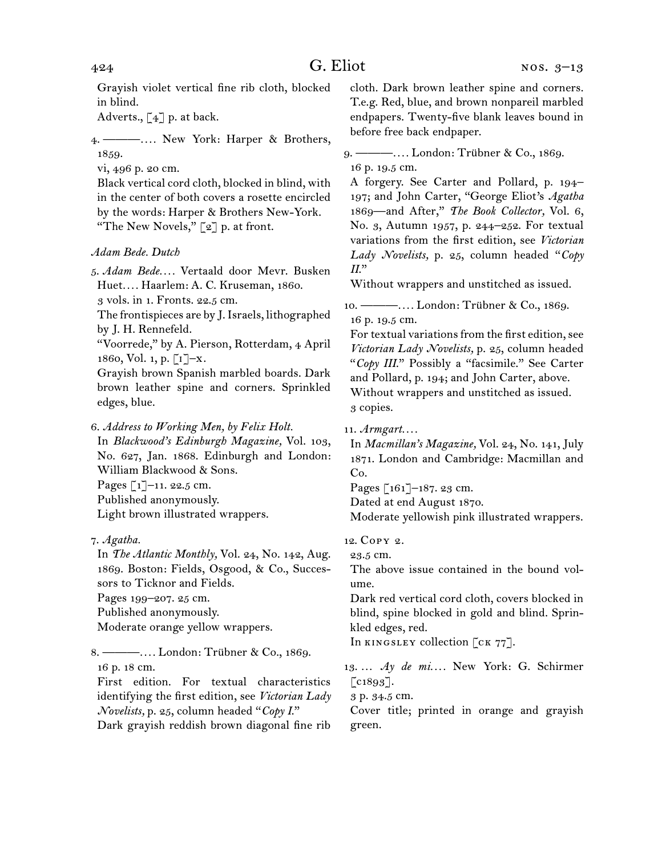Grayish violet vertical fine rib cloth, blocked in blind.

Adverts.,  $\begin{bmatrix} 4 \end{bmatrix}$  p. at back.

4.  ———*. . . .* New York: Harper & Brothers, 1859.

vi, 496 p. 20 cm.

Black vertical cord cloth, blocked in blind, with in the center of both covers a rosette encircled by the words: Harper & Brothers New-York. "The New Novels,"  $\lceil 2 \rceil$  p. at front.

## *Adam Bede. Dutch*

5.  *Adam Bede. . . .* Vertaald door Mevr. Busken Huet*. . . .* Haarlem: A. C. Kruseman, 1860. 3 vols. in 1. Fronts. 22.5 cm.

The frontispieces are by J.Israels, lithographed

by J. H. Rennefeld.

"Voorrede," by A. Pierson, Rotterdam, 4 April 1860, Vol. 1, p.  $\lceil 1 \rceil - x$ .

Grayish brown Spanish marbled boards. Dark brown leather spine and corners. Sprinkled edges, blue.

6.  *Address to Working Men, by Felix Holt.*

In *Blackwood's Edinburgh Magazine,* Vol. 103, No. 627, Jan. 1868. Edinburgh and London: William Blackwood & Sons.

Pages [1]–11. 22.5 cm.

Published anonymously.

Light brown illustrated wrappers.

In *The Atlantic Monthly,* Vol. 24, No. 142, Aug. 1869. Boston: Fields, Osgood, & Co., Successors to Ticknor and Fields. Pages 199–207. 25 cm. Published anonymously. Moderate orange yellow wrappers.

8.  ———*. . . .* London: Trübner & Co., 1869. 16 p. 18 cm.

First edition. For textual characteristics identifying the first edition, see *Victorian Lady Novelists,* p. 25, column headed "*Copy I*." Dark grayish reddish brown diagonal fine rib

cloth. Dark brown leather spine and corners. T.e.g. Red, blue, and brown nonpareil marbled endpapers. Twenty-five blank leaves bound in before free back endpaper.

## 9.  ———*. . . .* London: Trübner & Co., 1869. 16 p. 19.5 cm.

A forgery. See Carter and Pollard, p. 194– 197; and John Carter, "George Eliot's *Agatha* 1869—and After," *The Book Collector,* Vol. 6, No. 3, Autumn 1957, p. 244–252. For textual variations from the first edition, see *Victorian Lady Novelists,* p. 25, column headed "*Copy II*."

Without wrappers and unstitched as issued.

10.  ———*. . . .* London: Trübner & Co., 1869. 16 p. 19.5 cm.

For textual variations from the first edition, see *Victorian Lady Novelists,* p. 25, column headed "*Copy III*." Possibly a "facsimile." See Carter and Pollard, p. 194; and John Carter, above. Without wrappers and unstitched as issued. 3 copies.

11.  *Armgart. . . .*

In *Macmillan's Magazine,* Vol. 24, No. 141, July 1871. London and Cambridge: Macmillan and Co.

Pages [161]-187. 23 cm.

Dated at end August 1870.

Moderate yellowish pink illustrated wrappers.

12.  Copy 2.

23.5 cm.

The above issue contained in the bound volume.

Dark red vertical cord cloth, covers blocked in blind, spine blocked in gold and blind. Sprinkled edges, red.

In KINGSLEY collection [CK 77].

13.  … *Ay de mi. . . .* New York: G. Schirmer  $\lbrack \text{c1893}\rbrack.$ 

3 p. 34.5 cm.

Cover title; printed in orange and grayish green.

<sup>7.</sup>*Agatha.*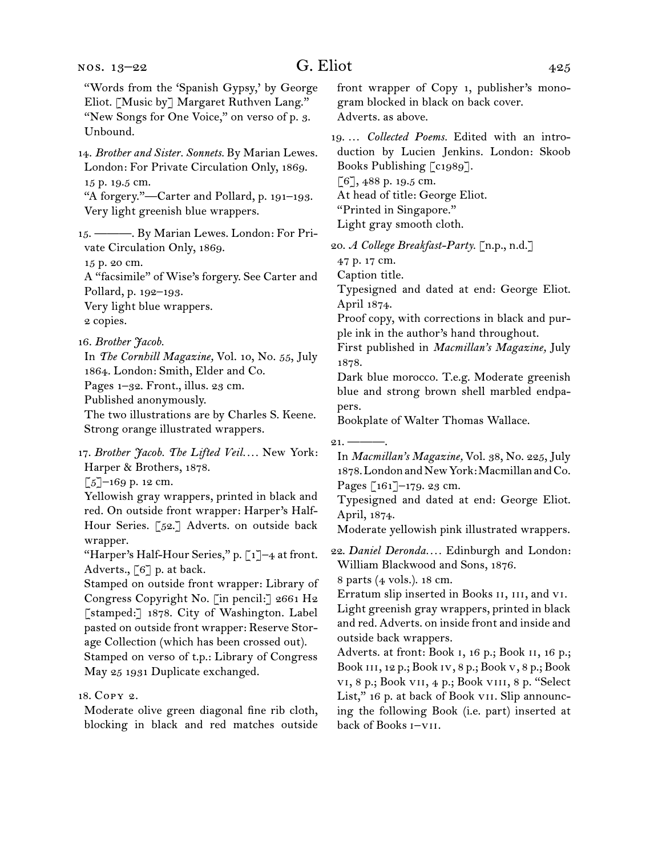"Words from the 'Spanish Gypsy,' by George Eliot. [Music by] Margaret Ruthven Lang." "New Songs for One Voice," on verso of p. 3. Unbound. 14.  *Brother and Sister. Sonnets.* By Marian Lewes. London: For Private Circulation Only, 1869. 15 p. 19.5 cm. "A forgery."—Carter and Pollard, p. 191–193. Very light greenish blue wrappers. 15.  ———. By Marian Lewes. London: For Private Circulation Only, 1869. 15 p. 20 cm. A "facsimile" of Wise's forgery. See Carter and Pollard, p. 192–193. Very light blue wrappers. 2 copies. 16.  *Brother Jacob.* In *The Cornhill Magazine,* Vol. 10, No. 55, July 1864. London: Smith, Elder and Co. Pages 1-32. Front., illus. 23 cm. Published anonymously. The two illustrations are by Charles S. Keene. Strong orange illustrated wrappers. 17.  *Brother Jacob. The Lifted Veil. . . .* New York: Harper & Brothers, 1878.  $\lceil 5 \rceil$ –169 p. 12 cm. Yellowish gray wrappers, printed in black and red. On outside front wrapper: Harper's Half-Hour Series. [52.] Adverts. on outside back wrapper. "Harper's Half-Hour Series," p. [1]-4 at front. Adverts., [6] p. at back. Stamped on outside front wrapper: Library of Congress Copyright No. [in pencil:] 2661 H2 [stamped:] 1878. City of Washington. Label pasted on outside front wrapper: Reserve Storage Collection (which has been crossed out). Stamped on verso of t.p.: Library of Congress front wrapper of Copy 1, publisher's monogram blocked in black on back cover. Adverts. as above. 19.  … *Collected Poems.* Edited with an introduction by Lucien Jenkins. London: Skoob Books Publishing [c1989]. [6], 488 p. 19.5 cm. At head of title: George Eliot. "Printed in Singapore." Light gray smooth cloth. 20.  *A College Breakfast-Party.* [n.p., n.d.] 47 p. 17 cm. Caption title. Typesigned and dated at end: George Eliot. April 1874. Proof copy, with corrections in black and purple ink in the author's hand throughout. First published in *Macmillan's Magazine,* July 1878. Dark blue morocco. T.e.g. Moderate greenish blue and strong brown shell marbled endpapers. Bookplate of Walter Thomas Wallace.  $21.$  —— In *Macmillan's Magazine,* Vol. 38, No. 225, July 1878. London and New York: Macmillan and Co. Pages [161]–179. 23 cm. Typesigned and dated at end: George Eliot. April, 1874. Moderate yellowish pink illustrated wrappers. 22.  *Daniel Deronda. . . .* Edinburgh and London: William Blackwood and Sons, 1876. 8 parts (4 vols.). 18 cm. Erratum slip inserted in Books ii, iii, and vi. Light greenish gray wrappers, printed in black and red. Adverts. on inside front and inside and outside back wrappers. Adverts. at front: Book i, 16 p.; Book ii, 16 p.;

Book iii, 12 p.; Book iv, 8 p.; Book v, 8 p.; Book vi, 8 p.; Book vii, 4 p.; Book viii, 8 p. "Select List," 16 p. at back of Book VII. Slip announcing the following Book (i.e. part) inserted at back of Books i–vii.

18.  Copy 2.

Moderate olive green diagonal fine rib cloth, blocking in black and red matches outside

May 25 1931 Duplicate exchanged.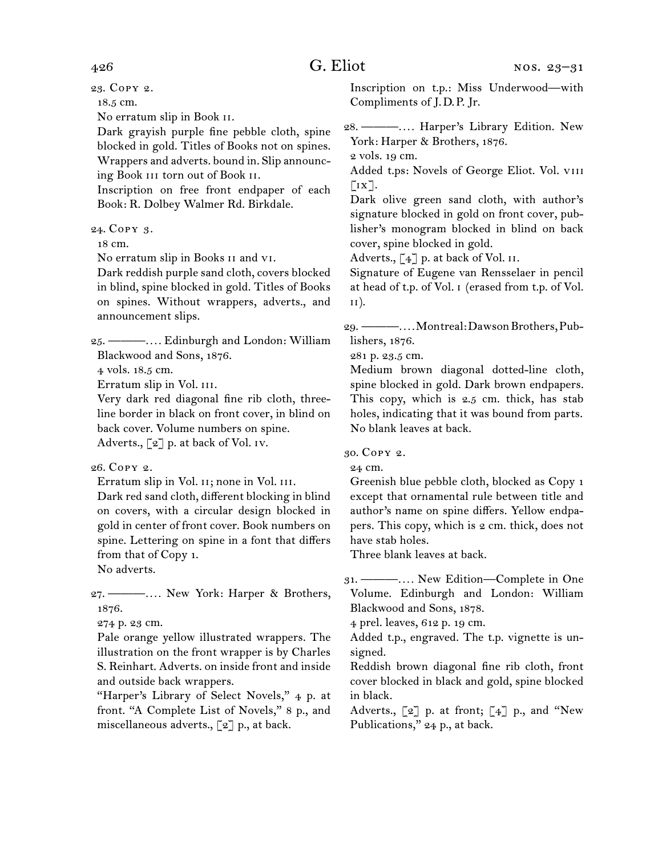23.  Copy 2.

18.5 cm.

No erratum slip in Book ii.

Dark grayish purple fine pebble cloth, spine blocked in gold. Titles of Books not on spines. Wrappers and adverts. bound in. Slip announcing Book iii torn out of Book ii.

Inscription on free front endpaper of each Book: R. Dolbey Walmer Rd. Birkdale.

24.  Copy 3.

18 cm.

No erratum slip in Books ii and vi.

Dark reddish purple sand cloth, covers blocked in blind, spine blocked in gold. Titles of Books on spines. Without wrappers, adverts., and announcement slips.

25.  ———*. . . .* Edinburgh and London: William Blackwood and Sons, 1876.

4 vols. 18.5 cm.

Erratum slip in Vol. iii.

Very dark red diagonal fine rib cloth, threeline border in black on front cover, in blind on back cover. Volume numbers on spine. Adverts., [2] p. at back of Vol. iv.

## 26.  Copy 2.

Erratum slip in Vol. II; none in Vol. III.

Dark red sand cloth, different blocking in blind on covers, with a circular design blocked in gold in center of front cover. Book numbers on spine. Lettering on spine in a font that differs from that of Copy 1.

No adverts.

27.  ———*. . . .* New York: Harper & Brothers, 1876.

274 p. 23 cm.

Pale orange yellow illustrated wrappers. The illustration on the front wrapper is by Charles S. Reinhart. Adverts. on inside front and inside and outside back wrappers.

"Harper's Library of Select Novels," 4 p. at front. "A Complete List of Novels," 8 p., and miscellaneous adverts., [2] p., at back.

Inscription on t.p.: Miss Underwood—with Compliments of J. D. P. Jr.

28.  ———*. . . .* Harper's Library Edition. New York: Harper & Brothers, 1876.

2 vols. 19 cm.

Added t.ps: Novels of George Eliot. Vol. viii  $\lceil i x \rceil$ .

Dark olive green sand cloth, with author's signature blocked in gold on front cover, publisher's monogram blocked in blind on back cover, spine blocked in gold.

Adverts.,  $\lceil 4 \rceil$  p. at back of Vol. II.

Signature of Eugene van Rensselaer in pencil at head of t.p. of Vol. i (erased from t.p. of Vol. ii).

29.  ———*. . . .*Montreal:DawsonBrothers,Publishers, 1876.

281 p. 23.5 cm.

Medium brown diagonal dotted-line cloth, spine blocked in gold. Dark brown endpapers. This copy, which is 2.5 cm. thick, has stab holes, indicating that it was bound from parts. No blank leaves at back.

30.  Copy 2.

24 cm.

Greenish blue pebble cloth, blocked as Copy 1 except that ornamental rule between title and author's name on spine differs. Yellow endpapers. This copy, which is 2 cm. thick, does not have stab holes.

Three blank leaves at back.

31.  ———*. . . .* New Edition—Complete in One Volume. Edinburgh and London: William Blackwood and Sons, 1878.

4 prel. leaves, 612 p. 19 cm.

Added t.p., engraved. The t.p. vignette is unsigned.

Reddish brown diagonal fine rib cloth, front cover blocked in black and gold, spine blocked in black.

Adverts.,  $\lbrack 2 \rbrack$  p. at front;  $\lbrack 4 \rbrack$  p., and "New Publications," 24 p., at back.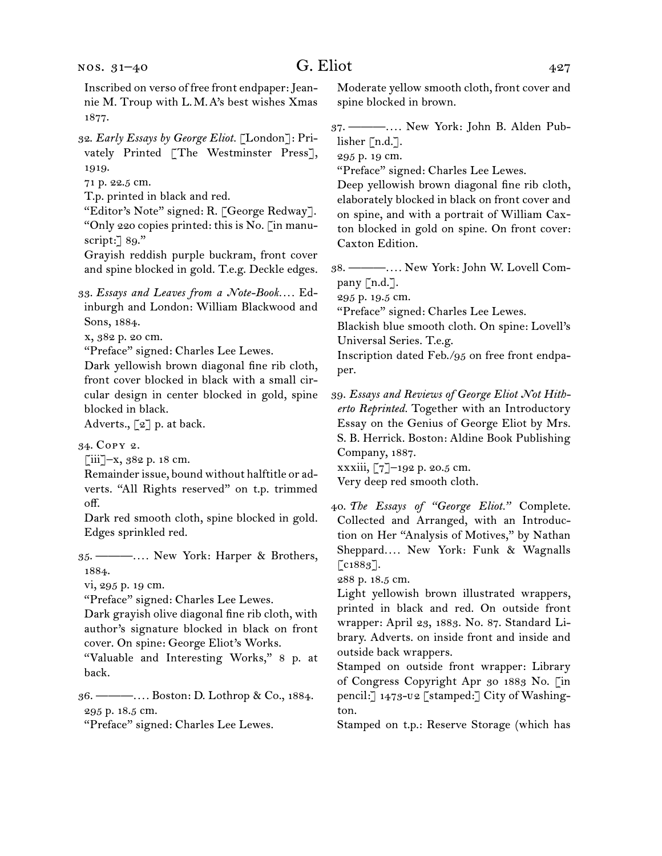Inscribed on verso of free front endpaper:Jeannie M. Troup with L. M. A's best wishes Xmas 1877.

- 32.  *Early Essays by George Eliot.* [London]: Privately Printed [The Westminster Press], 1919.
- 71 p. 22.5 cm.
- T.p. printed in black and red.

"Editor's Note" signed: R. [George Redway]. "Only 220 copies printed: this is No. [in manuscript:] 89."

Grayish reddish purple buckram, front cover and spine blocked in gold. T.e.g. Deckle edges.

33.  *Essays and Leaves from a Note-Book. . . .* Edinburgh and London: William Blackwood and Sons, 1884.

x, 382 p. 20 cm.

"Preface" signed: Charles Lee Lewes.

Dark yellowish brown diagonal fine rib cloth, front cover blocked in black with a small circular design in center blocked in gold, spine blocked in black.

Adverts., [2] p. at back.

34.  Copy 2.

 $\left[\begin{matrix}iii\\-x\\s{,}\end{matrix}\right]$  -x, 382 p. 18 cm.

Remainder issue, bound without halftitle or adverts. "All Rights reserved" on t.p. trimmed off.

Dark red smooth cloth, spine blocked in gold. Edges sprinkled red.

35.  ———*. . . .* New York: Harper & Brothers, 1884.

vi, 295 p. 19 cm.

"Preface" signed: Charles Lee Lewes.

Dark grayish olive diagonal fine rib cloth, with author's signature blocked in black on front cover. On spine: George Eliot's Works.

"Valuable and Interesting Works," 8 p. at back.

36.  ———*. . . .* Boston: D. Lothrop & Co., 1884. 295 p. 18.5 cm.

"Preface" signed: Charles Lee Lewes.

Moderate yellow smooth cloth, front cover and spine blocked in brown.

37.  ———*. . . .* New York: John B. Alden Publisher [n.d.].

295 p. 19 cm.

"Preface" signed: Charles Lee Lewes.

Deep yellowish brown diagonal fine rib cloth, elaborately blocked in black on front cover and on spine, and with a portrait of William Caxton blocked in gold on spine. On front cover: Caxton Edition.

38.  ———*. . . .* New York: John W. Lovell Company [n.d.].

295 p. 19.5 cm.

"Preface" signed: Charles Lee Lewes.

Blackish blue smooth cloth. On spine: Lovell's Universal Series. T.e.g.

Inscription dated Feb./95 on free front endpaper.

39.  *Essays and Reviews of George Eliot Not Hitherto Reprinted.* Together with an Introductory Essay on the Genius of George Eliot by Mrs. S. B. Herrick. Boston: Aldine Book Publishing Company, 1887.

xxxiii, [7]–192 p. 20.5 cm. Very deep red smooth cloth.

40.  *The Essays of "George Eliot."* Complete. Collected and Arranged, with an Introduction on Her "Analysis of Motives," by Nathan Sheppard*. . . .* New York: Funk & Wagnalls [c1883].

288 p. 18.5 cm.

Light yellowish brown illustrated wrappers, printed in black and red. On outside front wrapper: April 23, 1883. No. 87. Standard Library. Adverts. on inside front and inside and outside back wrappers.

Stamped on outside front wrapper: Library of Congress Copyright Apr 30 1883 No. [in pencil:] 1473-u2 [stamped:] City of Washington.

Stamped on t.p.: Reserve Storage (which has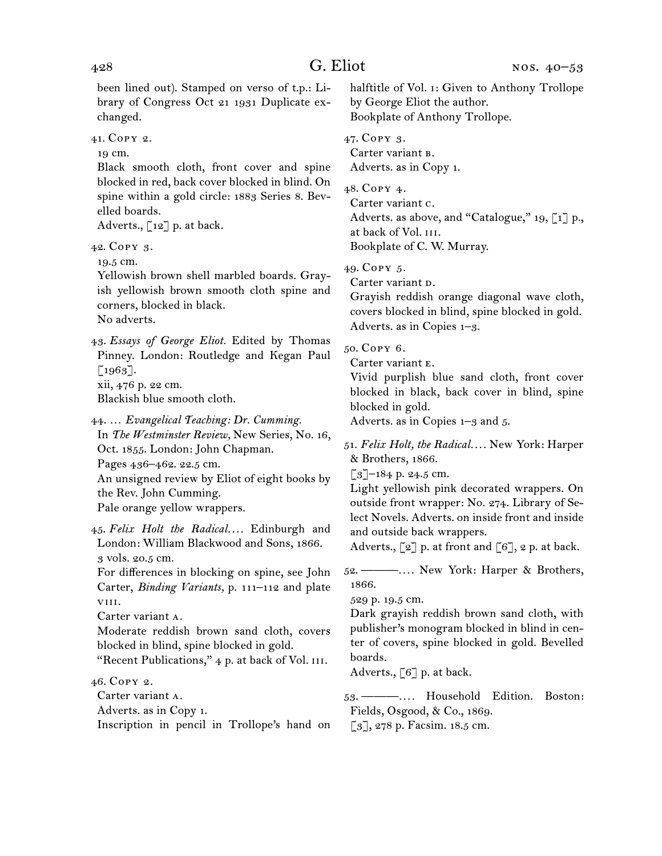been lined out). Stamped on verso of t.p.: Library of Congress Oct 21 1931 Duplicate exchanged.

41.  Copy 2.

19 cm.

Black smooth cloth, front cover and spine blocked in red, back cover blocked in blind. On spine within a gold circle: 1883 Series 8. Bevelled boards.

Adverts., [12] p. at back.

42.  Copy 3.

19.5 cm.

Yellowish brown shell marbled boards. Grayish yellowish brown smooth cloth spine and corners, blocked in black. No adverts.

43.  *Essays of George Eliot.* Edited by Thomas Pinney. London: Routledge and Kegan Paul  $\lceil 1963 \rceil$ .

xii, 476 p. 22 cm.

Blackish blue smooth cloth.

44.  … *Evangelical Teaching: Dr. Cumming.* In *The Westminster Review,* New Series, No. 16, Oct. 1855. London: John Chapman. Pages 436–462. 22.5 cm. An unsigned review by Eliot of eight books by the Rev. John Cumming. Pale orange yellow wrappers.

45.  *Felix Holt the Radical. . . .* Edinburgh and London: William Blackwood and Sons, 1866. 3 vols. 20.5 cm.

For differences in blocking on spine, see John Carter, *Binding Variants,* p. 111–112 and plate viii.

Carter variant a.

Moderate reddish brown sand cloth, covers blocked in blind, spine blocked in gold.

"Recent Publications," 4 p. at back of Vol. III.

46.  Copy 2.

Carter variant a.

Adverts. as in Copy 1.

Inscription in pencil in Trollope's hand on

halftitle of Vol. i: Given to Anthony Trollope by George Eliot the author. Bookplate of Anthony Trollope.

47.  Copy 3.

Carter variant b. Adverts. as in Copy 1.

48.  Copy 4.

Carter variant c. Adverts. as above, and "Catalogue," 19, [1] p., at back of Vol. iii. Bookplate of C. W. Murray.

49.  Copy 5.

Carter variant p.

Grayish reddish orange diagonal wave cloth, covers blocked in blind, spine blocked in gold. Adverts. as in Copies 1–3.

50.  Copy 6.

Carter variant E.

Vivid purplish blue sand cloth, front cover blocked in black, back cover in blind, spine blocked in gold.

Adverts. as in Copies 1–3 and 5.

51.  *Felix Holt, the Radical. . . .* New York: Harper & Brothers, 1866.

[3]-184 p. 24.5 cm.

Light yellowish pink decorated wrappers. On outside front wrapper: No. 274. Library of Select Novels. Adverts. on inside front and inside and outside back wrappers.

Adverts.,  $\lbrack 2 \rbrack$  p. at front and  $\lbrack 6 \rbrack$ , 2 p. at back.

52.  ———*. . . .* New York: Harper & Brothers, 1866.

529 p. 19.5 cm.

Dark grayish reddish brown sand cloth, with publisher's monogram blocked in blind in center of covers, spine blocked in gold. Bevelled boards.

Adverts.,  $\lceil 6 \rceil$  p. at back.

53.  ———*. . . .* Household Edition. Boston: Fields, Osgood, & Co., 1869.

[3], 278 p. Facsim. 18.5 cm.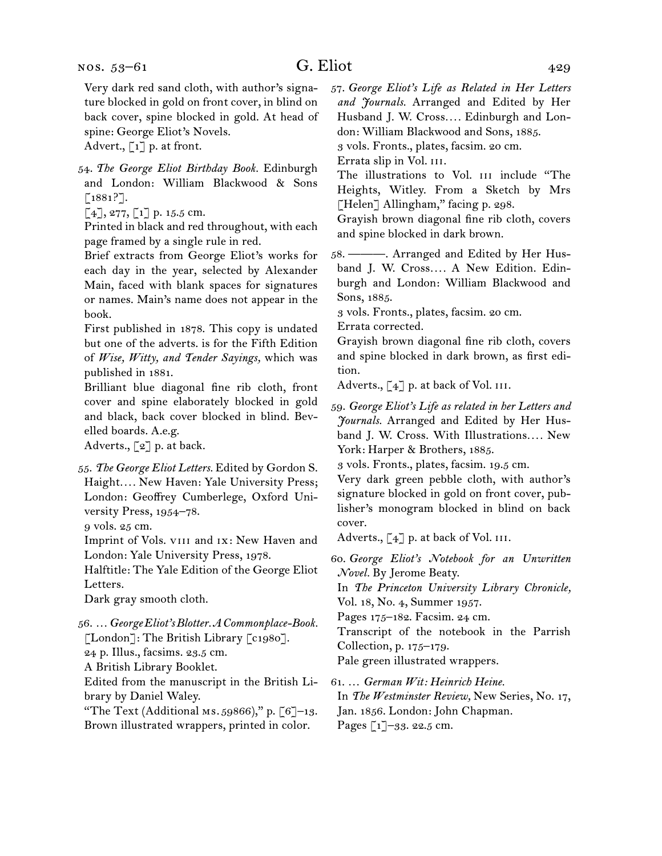Very dark red sand cloth, with author's signature blocked in gold on front cover, in blind on back cover, spine blocked in gold. At head of spine: George Eliot's Novels.

Advert.,  $\lceil 1 \rceil$  p. at front.

54.  *The George Eliot Birthday Book.* Edinburgh and London: William Blackwood & Sons [1881?].

 $[4]$ , 277,  $[1]$  p. 15.5 cm.

Printed in black and red throughout, with each page framed by a single rule in red.

Brief extracts from George Eliot's works for each day in the year, selected by Alexander Main, faced with blank spaces for signatures or names. Main's name does not appear in the book.

First published in 1878. This copy is undated but one of the adverts. is for the Fifth Edition of *Wise, Witty, and Tender Sayings,* which was published in 1881.

Brilliant blue diagonal fine rib cloth, front cover and spine elaborately blocked in gold and black, back cover blocked in blind. Bevelled boards. A.e.g.

Adverts., [2] p. at back.

55.  *The George Eliot Letters.* Edited by Gordon S. Haight*. . . .* New Haven: Yale University Press; London: Geoffrey Cumberlege, Oxford University Press, 1954–78.

9 vols. 25 cm.

Imprint of Vols. viii and ix: New Haven and London: Yale University Press, 1978.

Halftitle: The Yale Edition of the George Eliot Letters.

Dark gray smooth cloth.

56.  …*George Eliot's Blotter. A Commonplace-Book.*

[London]: The British Library [c1980].

24 p. Illus., facsims. 23.5 cm.

A British Library Booklet.

Edited from the manuscript in the British Library by Daniel Waley.

"The Text (Additional Ms.  $59866$ )," p.  $[6]-13$ . Brown illustrated wrappers, printed in color.

57.  *George Eliot's Life as Related in Her Letters and Journals.* Arranged and Edited by Her Husband J. W. Cross*. . . .* Edinburgh and London: William Blackwood and Sons, 1885. 3 vols. Fronts., plates, facsim. 20 cm.

Errata slip in Vol. III.

The illustrations to Vol. III include "The Heights, Witley. From a Sketch by Mrs [Helen] Allingham," facing p. 298.

Grayish brown diagonal fine rib cloth, covers and spine blocked in dark brown.

58.  ———. Arranged and Edited by Her Husband J. W. Cross*. . . .* A New Edition. Edinburgh and London: William Blackwood and Sons, 1885.

3 vols. Fronts., plates, facsim. 20 cm.

Errata corrected.

Grayish brown diagonal fine rib cloth, covers and spine blocked in dark brown, as first edition.

Adverts.,  $\lbrack 4 \rbrack$  p. at back of Vol.  $\overline{111}$ .

59.  *George Eliot's Life as related in her Letters and Journals.* Arranged and Edited by Her Husband J. W. Cross. With Illustrations*. . . .* New York: Harper & Brothers, 1885.

3 vols. Fronts., plates, facsim. 19.5 cm.

Very dark green pebble cloth, with author's signature blocked in gold on front cover, publisher's monogram blocked in blind on back cover.

Adverts.,  $\lbrack 4 \rbrack$  p. at back of Vol.  $\overline{111}$ .

60.  *George Eliot's Notebook for an Unwritten Novel.* By Jerome Beaty.

In *The Princeton University Library Chronicle,*  Vol. 18, No. 4, Summer 1957.

Pages 175–182. Facsim. 24 cm.

Transcript of the notebook in the Parrish Collection, p. 175–179.

Pale green illustrated wrappers.

61.  … *German Wit: Heinrich Heine.* In *The Westminster Review,* New Series, No. 17, Jan. 1856. London: John Chapman. Pages [1]–33. 22.5 cm.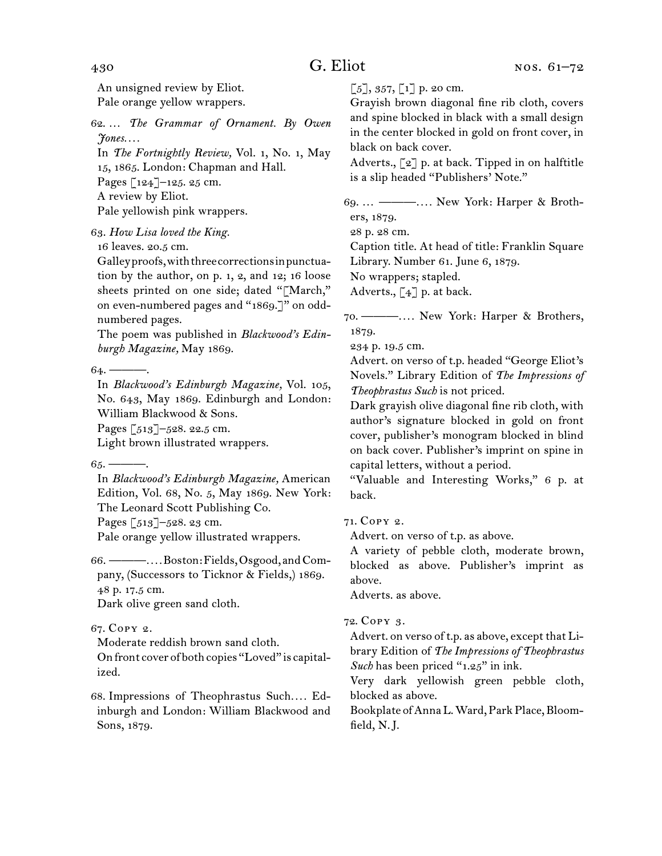An unsigned review by Eliot. Pale orange yellow wrappers.

62.  … *The Grammar of Ornament. By Owen Jones. . . .*

In *The Fortnightly Review,* Vol. 1, No. 1, May 15, 1865. London: Chapman and Hall. Pages [124]–125. 25 cm. A review by Eliot. Pale yellowish pink wrappers.

63.  *How Lisa loved the King.*

16 leaves. 20.5 cm.

Galleyproofs,withthreecorrectionsinpunctuation by the author, on p. 1, 2, and 12; 16 loose sheets printed on one side; dated "[March," on even-numbered pages and "1869.]" on oddnumbered pages.

The poem was published in *Blackwood's Edinburgh Magazine,* May 1869.

64.  ———.

In *Blackwood's Edinburgh Magazine,* Vol. 105, No. 643, May 1869. Edinburgh and London: William Blackwood & Sons.

Pages [513]–528. 22.5 cm.

Light brown illustrated wrappers.

 $65.$  ———.

In *Blackwood's Edinburgh Magazine,* American Edition, Vol. 68, No. 5, May 1869. New York: The Leonard Scott Publishing Co.

Pages [513]-528. 23 cm.

Pale orange yellow illustrated wrappers.

66.  ———*. . . .*Boston:Fields,Osgood, andCompany, (Successors to Ticknor & Fields,) 1869. 48 p. 17.5 cm.

Dark olive green sand cloth.

## 67.  Copy 2.

Moderate reddish brown sand cloth.

On front cover of both copies "Loved" is capitalized.

68.  Impressions of Theophrastus Such*. . . .* Edinburgh and London: William Blackwood and Sons, 1879.

 $[5]$ , 357,  $[1]$  p. 20 cm.

Grayish brown diagonal fine rib cloth, covers and spine blocked in black with a small design in the center blocked in gold on front cover, in black on back cover.

Adverts.,  $\lceil 2 \rceil$  p. at back. Tipped in on halftitle is a slip headed "Publishers' Note."

69.  … ———*. . . .* New York: Harper & Brothers, 1879.

28 p. 28 cm.

Caption title. At head of title: Franklin Square Library. Number 61. June 6, 1879.

No wrappers; stapled.

Adverts.,  $\lceil 4 \rceil$  p. at back.

70.  ———*. . . .* New York: Harper & Brothers, 1879.

234 p. 19.5 cm.

Advert. on verso of t.p. headed "George Eliot's Novels." Library Edition of *The Impressions of Theophrastus Such* is not priced.

Dark grayish olive diagonal fine rib cloth, with author's signature blocked in gold on front cover, publisher's monogram blocked in blind on back cover. Publisher's imprint on spine in capital letters, without a period.

"Valuable and Interesting Works," 6 p. at back.

71.  Copy 2.

Advert. on verso of t.p. as above.

A variety of pebble cloth, moderate brown, blocked as above. Publisher's imprint as above.

Adverts. as above.

## 72.  Copy 3.

Advert. on verso of t.p. as above, except that Library Edition of *The Impressions of Theophrastus Such* has been priced "1.25" in ink.

Very dark yellowish green pebble cloth, blocked as above.

Bookplate of Anna L. Ward, Park Place, Bloomfield, N. J.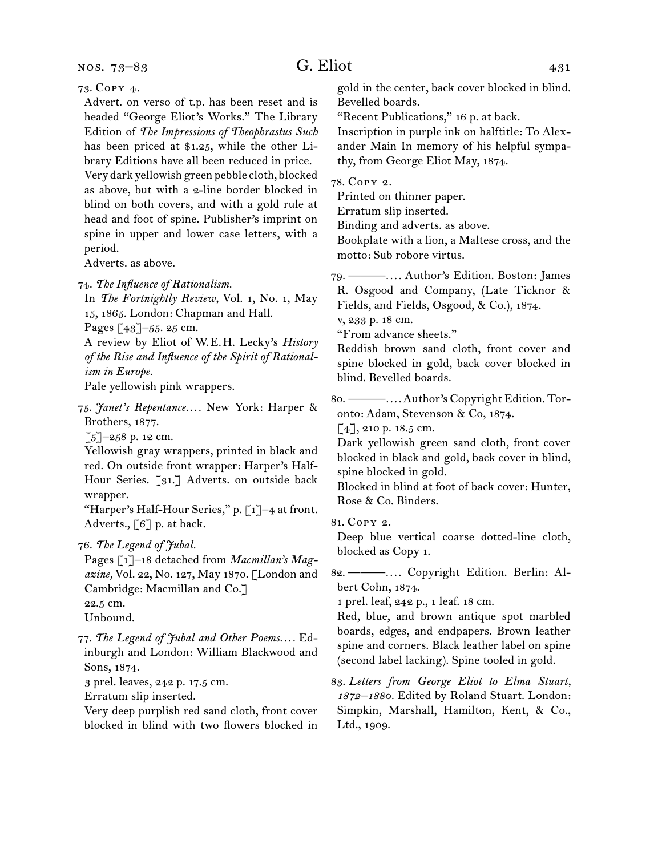nos. 73–83

## G. Eliot  $431$

73.  Copy 4.

Advert. on verso of t.p. has been reset and is headed "George Eliot's Works." The Library Edition of *The Impressions of Theophrastus Such*  has been priced at \$1.25, while the other Library Editions have all been reduced in price. Very dark yellowish green pebble cloth, blocked as above, but with a 2-line border blocked in blind on both covers, and with a gold rule at head and foot of spine. Publisher's imprint on spine in upper and lower case letters, with a period.

Adverts. as above.

74.  *The Influence of Rationalism.*

In *The Fortnightly Review,* Vol. 1, No. 1, May 15, 1865. London: Chapman and Hall.

Pages [43]–55. 25 cm.

A review by Eliot of W. E. H. Lecky's *History of the Rise and Influence of the Spirit of Rationalism in Europe.*

Pale yellowish pink wrappers.

75.  *Janet's Repentance. . . .* New York: Harper & Brothers, 1877.

[5]–258 p. 12 cm.

Yellowish gray wrappers, printed in black and red. On outside front wrapper: Harper's Half-Hour Series. [31.] Adverts. on outside back wrapper.

"Harper's Half-Hour Series," p. [1]-4 at front. Adverts., [6] p. at back.

76.  *The Legend of Jubal.*

Pages [1]–18 detached from *Macmillan's Magazine,* Vol. 22, No. 127, May 1870. [London and Cambridge: Macmillan and Co.] 22.5 cm.

Unbound.

77.  *The Legend of Jubal and Other Poems. . . .* Edinburgh and London: William Blackwood and Sons, 1874.

3 prel. leaves, 242 p. 17.5 cm.

Erratum slip inserted.

Very deep purplish red sand cloth, front cover blocked in blind with two flowers blocked in gold in the center, back cover blocked in blind. Bevelled boards.

"Recent Publications," 16 p. at back.

Inscription in purple ink on halftitle: To Alexander Main In memory of his helpful sympathy, from George Eliot May, 1874.

78.  Copy 2.

Printed on thinner paper.

Erratum slip inserted.

Binding and adverts. as above.

Bookplate with a lion, a Maltese cross, and the motto: Sub robore virtus.

79.  ———*. . . .* Author's Edition. Boston: James R. Osgood and Company, (Late Ticknor &

Fields, and Fields, Osgood, & Co.), 1874.

v, 233 p. 18 cm.

"From advance sheets."

Reddish brown sand cloth, front cover and spine blocked in gold, back cover blocked in blind. Bevelled boards.

80.  ———*. . . .*Author's Copyright Edition. Toronto: Adam, Stevenson & Co, 1874.

 $[4]$ , 210 p. 18.5 cm.

Dark yellowish green sand cloth, front cover blocked in black and gold, back cover in blind, spine blocked in gold.

Blocked in blind at foot of back cover: Hunter, Rose & Co. Binders.

81.  Copy 2.

Deep blue vertical coarse dotted-line cloth, blocked as Copy 1.

82.  ———*. . . .* Copyright Edition. Berlin: Albert Cohn, 1874.

1 prel. leaf, 242 p., 1 leaf. 18 cm.

Red, blue, and brown antique spot marbled boards, edges, and endpapers. Brown leather spine and corners. Black leather label on spine (second label lacking). Spine tooled in gold.

83.  *Letters from George Eliot to Elma Stuart, 1872–1880.* Edited by Roland Stuart. London: Simpkin, Marshall, Hamilton, Kent, & Co., Ltd., 1909.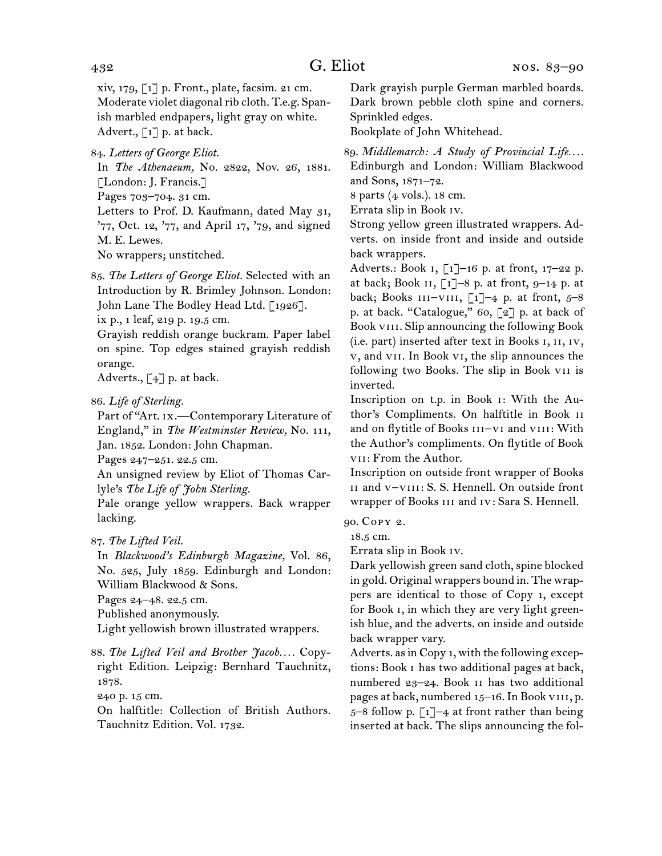xiv, 179, [1] p. Front., plate, facsim. 21 cm. Moderate violet diagonal rib cloth. T.e.g. Spanish marbled endpapers, light gray on white. Advert.,  $\lceil 1 \rceil$  p. at back.

84.  *Letters of George Eliot.*

In *The Athenaeum,* No. 2822, Nov. 26, 1881. [London: J. Francis.]

Pages 703–704. 31 cm.

Letters to Prof. D. Kaufmann, dated May 31, '77, Oct. 12, '77, and April 17, '79, and signed M. E. Lewes.

No wrappers; unstitched.

85.  *The Letters of George Eliot.* Selected with an Introduction by R. Brimley Johnson. London: John Lane The Bodley Head Ltd. [1926].

ix p., 1 leaf, 219 p. 19.5 cm.

Grayish reddish orange buckram. Paper label on spine. Top edges stained grayish reddish orange.

Adverts.,  $\lceil 4 \rceil$  p. at back.

86.  *Life of Sterling.*

Part of "Art. ix.—Contemporary Literature of England," in *The Westminster Review,* No. 111, Jan. 1852. London: John Chapman.

Pages 247–251. 22.5 cm.

An unsigned review by Eliot of Thomas Carlyle's *The Life of John Sterling.*

Pale orange yellow wrappers. Back wrapper lacking.

87.  *The Lifted Veil.*

In *Blackwood's Edinburgh Magazine,* Vol. 86, No. 525, July 1859. Edinburgh and London: William Blackwood & Sons.

Pages 24–48. 22.5 cm.

Published anonymously.

Light yellowish brown illustrated wrappers.

## 88.  *The Lifted Veil and Brother Jacob. . . .* Copyright Edition. Leipzig: Bernhard Tauchnitz, 1878.

240 p. 15 cm.

On halftitle: Collection of British Authors. Tauchnitz Edition. Vol. 1732.

Dark grayish purple German marbled boards. Dark brown pebble cloth spine and corners. Sprinkled edges.

Bookplate of John Whitehead.

89.  *Middlemarch: A Study of Provincial Life. . . .* Edinburgh and London: William Blackwood and Sons, 1871–72.

8 parts (4 vols.). 18 cm.

Errata slip in Book iv.

Strong yellow green illustrated wrappers. Adverts. on inside front and inside and outside back wrappers.

Adverts.: Book 1, [1]-16 p. at front, 17-22 p. at back; Book  $\overline{11}$ –8 p. at front, 9–14 p. at back; Books  $III-VIII$ , [1]–4 p. at front, 5–8 p. at back. "Catalogue," 60, [2] p. at back of Book VIII. Slip announcing the following Book (i.e. part) inserted after text in Books i, ii, iv, v, and vii. In Book vi, the slip announces the following two Books. The slip in Book vii is inverted.

Inscription on t.p. in Book i: With the Author's Compliments. On halftitle in Book ii and on flytitle of Books III-VI and VIII: With the Author's compliments. On flytitle of Book vii: From the Author.

Inscription on outside front wrapper of Books ii and v–viii: S. S. Hennell. On outside front wrapper of Books iii and iv: Sara S. Hennell.

90.  Copy 2.

18.5 cm.

Errata slip in Book iv.

Dark yellowish green sand cloth, spine blocked in gold. Original wrappers bound in. The wrappers are identical to those of Copy 1, except for Book i, in which they are very light greenish blue, and the adverts. on inside and outside back wrapper vary.

Adverts. as in Copy 1, with the following exceptions: Book i has two additional pages at back, numbered 23–24. Book ii has two additional pages at back, numbered 15–16.In Book viii, p. 5–8 follow p.  $\lceil 1 \rceil$ –4 at front rather than being inserted at back. The slips announcing the fol-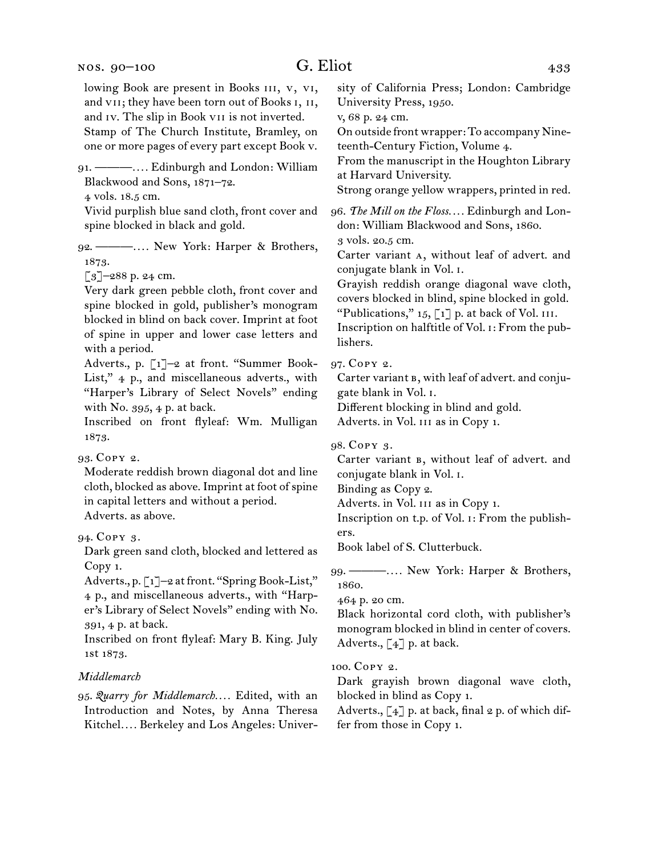lowing Book are present in Books III, v, vI, and vii; they have been torn out of Books i, ii, and iv. The slip in Book vii is not inverted. Stamp of The Church Institute, Bramley, on one or more pages of every part except Book v. 91.  ———*. . . .* Edinburgh and London: William Blackwood and Sons, 1871–72. 4 vols. 18.5 cm. Vivid purplish blue sand cloth, front cover and spine blocked in black and gold. 92.  ———*. . . .* New York: Harper & Brothers, 1873.  $\lceil 3 \rceil$ –288 p. 24 cm. Very dark green pebble cloth, front cover and spine blocked in gold, publisher's monogram blocked in blind on back cover. Imprint at foot of spine in upper and lower case letters and with a period. Adverts., p. [1]–2 at front. "Summer Book-List," 4 p., and miscellaneous adverts., with "Harper's Library of Select Novels" ending with No. 395, 4 p. at back. Inscribed on front flyleaf: Wm. Mulligan 1873. 93.  Copy 2. Moderate reddish brown diagonal dot and line cloth, blocked as above. Imprint at foot of spine in capital letters and without a period. Adverts. as above. 94.  Copy 3. Dark green sand cloth, blocked and lettered as Copy 1. Adverts., p. [1]-2 at front. "Spring Book-List," 4 p., and miscellaneous adverts., with "Harper's Library of Select Novels" ending with No. 391, 4 p. at back. Inscribed on front flyleaf: Mary B. King. July 1st 1873. *Middlemarch* 95.  *Quarry for Middlemarch. . . .* Edited, with an Introduction and Notes, by Anna Theresa Kitchel*. . . .* Berkeley and Los Angeles: University of California Press; London: Cambridge University Press, 1950. v, 68 p. 24 cm. On outside front wrapper: To accompany Nineteenth-Century Fiction, Volume 4. From the manuscript in the Houghton Library at Harvard University. Strong orange yellow wrappers, printed in red. 96.  *The Mill on the Floss. . . .* Edinburgh and London: William Blackwood and Sons, 1860. 3 vols. 20.5 cm. Carter variant a, without leaf of advert. and conjugate blank in Vol. i. Grayish reddish orange diagonal wave cloth, covers blocked in blind, spine blocked in gold. "Publications,"  $15$ ,  $\lceil 1 \rceil$  p. at back of Vol. III. Inscription on halftitle of Vol. i: From the publishers. 97.  Copy 2. Carter variant  $B$ , with leaf of advert. and conjugate blank in Vol. i. Different blocking in blind and gold. Adverts. in Vol. iii as in Copy 1. 98.  Copy 3. Carter variant  $B$ , without leaf of advert. and conjugate blank in Vol. i. Binding as Copy 2. Adverts. in Vol. iii as in Copy 1. Inscription on t.p. of Vol. i: From the publishers. Book label of S. Clutterbuck. 99.  ———*. . . .* New York: Harper & Brothers, 1860. 464 p. 20 cm. Black horizontal cord cloth, with publisher's monogram blocked in blind in center of covers. Adverts.,  $\lceil 4 \rceil$  p. at back. 100.  Copy 2. Dark grayish brown diagonal wave cloth, blocked in blind as Copy 1. Adverts.,  $\lceil 4 \rceil$  p. at back, final 2 p. of which differ from those in Copy 1.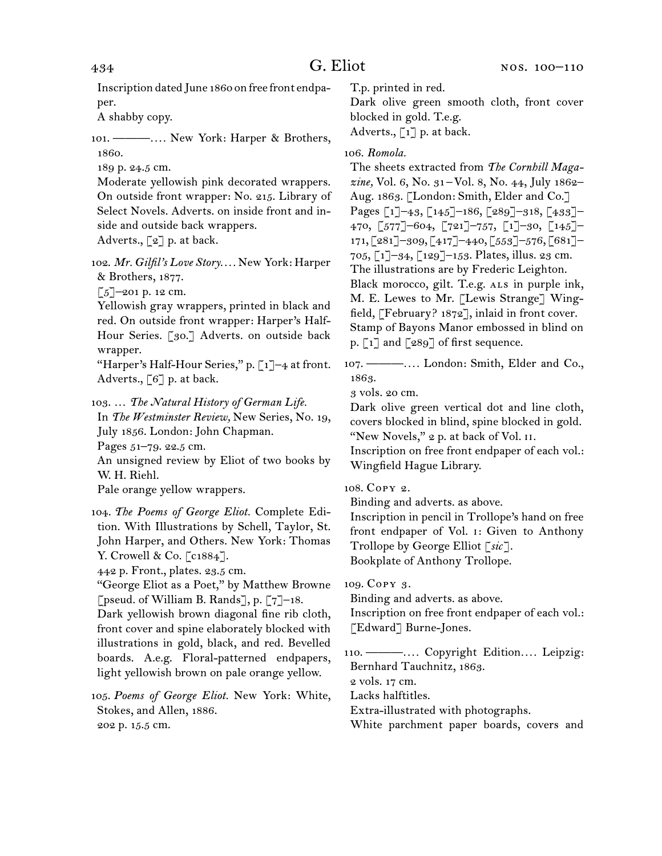Inscription dated June 1860 on free front endpaper.

A shabby copy.

101.  ———*. . . .* New York: Harper & Brothers, 1860.

189 p. 24.5 cm.

Moderate yellowish pink decorated wrappers. On outside front wrapper: No. 215. Library of Select Novels. Adverts. on inside front and inside and outside back wrappers.

Adverts., [2] p. at back.

102.  *Mr. Gilfil's Love Story. . . .* New York: Harper & Brothers, 1877.

[5]–201 p. 12 cm.

Yellowish gray wrappers, printed in black and red. On outside front wrapper: Harper's Half-Hour Series. [30.] Adverts. on outside back wrapper.

"Harper's Half-Hour Series," p.  $\lceil 1 \rceil$ -4 at front. Adverts., [6] p. at back.

103.  … *The Natural History of German Life.* In *The Westminster Review,* New Series, No. 19, July 1856. London: John Chapman. Pages 51–79. 22.5 cm. An unsigned review by Eliot of two books by

W. H. Riehl.

Pale orange yellow wrappers.

| 104. The Poems of George Eliot. Complete Edi-   |
|-------------------------------------------------|
| tion. With Illustrations by Schell, Taylor, St. |
| John Harper, and Others. New York: Thomas       |
| Y. Crowell & Co. $\lceil c1884 \rceil$ .        |

442 p. Front., plates. 23.5 cm.

"George Eliot as a Poet," by Matthew Browne [pseud. of William B. Rands], p. [7]–18.

Dark yellowish brown diagonal fine rib cloth, front cover and spine elaborately blocked with illustrations in gold, black, and red. Bevelled boards. A.e.g. Floral-patterned endpapers, light yellowish brown on pale orange yellow.

105.  *Poems of George Eliot.* New York: White, Stokes, and Allen, 1886. 202 p. 15.5 cm.

T.p. printed in red.

Dark olive green smooth cloth, front cover blocked in gold. T.e.g.

Adverts.,  $\lceil 1 \rceil$  p. at back.

106.  *Romola.*

The sheets extracted from *The Cornhill Magazine,* Vol. 6, No. 31 – Vol. 8, No. 44, July 1862– Aug. 1863. [London: Smith, Elder and Co.] Pages [1]–43, [145]–186, [289]–318, [433]– 470, [577]–604, [721]–757, [1]–30, [145]– 171, [281]–309, [417]–440, [553]–576, [681]– 705, [1]–34, [129]–153. Plates, illus. 23 cm. The illustrations are by Frederic Leighton. Black morocco, gilt. T.e.g. ALS in purple ink, M. E. Lewes to Mr. [Lewis Strange] Wingfield, [February? 1872], inlaid in front cover. Stamp of Bayons Manor embossed in blind on p.  $\lceil 1 \rceil$  and  $\lceil 289 \rceil$  of first sequence.

107.  ———*. . . .* London: Smith, Elder and Co., 1863.

3 vols. 20 cm.

Dark olive green vertical dot and line cloth, covers blocked in blind, spine blocked in gold. "New Novels," 2 p. at back of Vol. II.

Inscription on free front endpaper of each vol.: Wingfield Hague Library.

108.  Copy 2.

Binding and adverts. as above.

Inscription in pencil in Trollope's hand on free front endpaper of Vol. i: Given to Anthony Trollope by George Elliot [*sic*].

Bookplate of Anthony Trollope.

109.  Copy 3.

Binding and adverts. as above.

Inscription on free front endpaper of each vol.: [Edward] Burne-Jones.

110.  ———*. . . .* Copyright Edition*. . . .* Leipzig: Bernhard Tauchnitz, 1863.

2 vols. 17 cm.

Lacks halftitles.

Extra-illustrated with photographs.

White parchment paper boards, covers and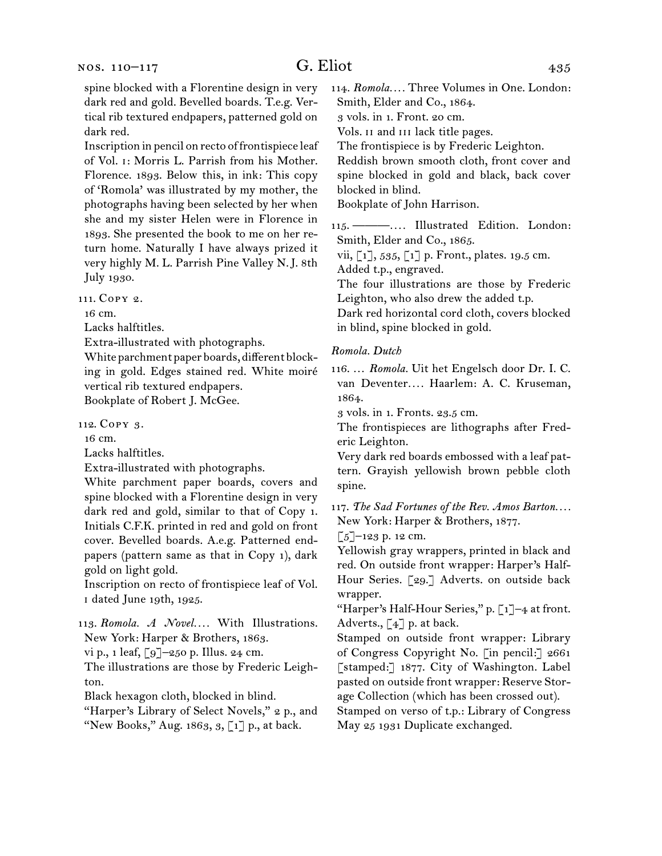spine blocked with a Florentine design in very dark red and gold. Bevelled boards. T.e.g. Vertical rib textured endpapers, patterned gold on dark red.

Inscription in pencil on recto of frontispiece leaf of Vol. i: Morris L. Parrish from his Mother. Florence. 1893. Below this, in ink: This copy of 'Romola' was illustrated by my mother, the photographs having been selected by her when she and my sister Helen were in Florence in 1893. She presented the book to me on her return home. Naturally I have always prized it very highly M. L. Parrish Pine Valley N. J. 8th July 1930.

111.  Copy 2.

16 cm.

Lacks halftitles.

Extra-illustrated with photographs.

White parchment paper boards, different blocking in gold. Edges stained red. White moiré vertical rib textured endpapers.

Bookplate of Robert J. McGee.

112.  Copy 3.

16 cm.

Lacks halftitles.

Extra-illustrated with photographs.

White parchment paper boards, covers and spine blocked with a Florentine design in very dark red and gold, similar to that of Copy 1. Initials C.F.K. printed in red and gold on front cover. Bevelled boards. A.e.g. Patterned endpapers (pattern same as that in Copy 1), dark gold on light gold.

Inscription on recto of frontispiece leaf of Vol. i dated June 19th, 1925.

113.  *Romola. A Novel. . . .* With Illustrations. New York: Harper & Brothers, 1863.

vi p., 1 leaf, [9]–250 p. Illus. 24 cm.

The illustrations are those by Frederic Leighton.

Black hexagon cloth, blocked in blind.

"Harper's Library of Select Novels," 2 p., and "New Books," Aug. 1863,  $3$ , [1] p., at back.

114.  *Romola. . . .* Three Volumes in One. London: Smith, Elder and Co., 1864.

3 vols. in 1. Front. 20 cm.

Vols. ii and iii lack title pages.

The frontispiece is by Frederic Leighton.

Reddish brown smooth cloth, front cover and spine blocked in gold and black, back cover blocked in blind.

Bookplate of John Harrison.

115.  ———*. . . .* Illustrated Edition. London: Smith, Elder and Co., 1865.

vii, [1], 535, [1] p. Front., plates. 19.5 cm. Added t.p., engraved.

The four illustrations are those by Frederic Leighton, who also drew the added t.p.

Dark red horizontal cord cloth, covers blocked in blind, spine blocked in gold.

#### *Romola. Dutch*

116.  … *Romola.* Uit het Engelsch door Dr. I. C. van Deventer*. . . .* Haarlem: A. C. Kruseman, 1864.

3 vols. in 1. Fronts. 23.5 cm.

The frontispieces are lithographs after Frederic Leighton.

Very dark red boards embossed with a leaf pattern. Grayish yellowish brown pebble cloth spine.

117.  *The Sad Fortunes of the Rev. Amos Barton. . . .* New York: Harper & Brothers, 1877.

 $\left[\frac{5}{2}\right]$ –123 p. 12 cm.

Yellowish gray wrappers, printed in black and red. On outside front wrapper: Harper's Half-Hour Series. [29.] Adverts. on outside back wrapper.

"Harper's Half-Hour Series," p. [1]–4 at front. Adverts., [4] p. at back.

Stamped on outside front wrapper: Library of Congress Copyright No. [in pencil:] 2661 [stamped:] 1877. City of Washington. Label pasted on outside front wrapper: Reserve Storage Collection (which has been crossed out).

Stamped on verso of t.p.: Library of Congress May 25 1931 Duplicate exchanged.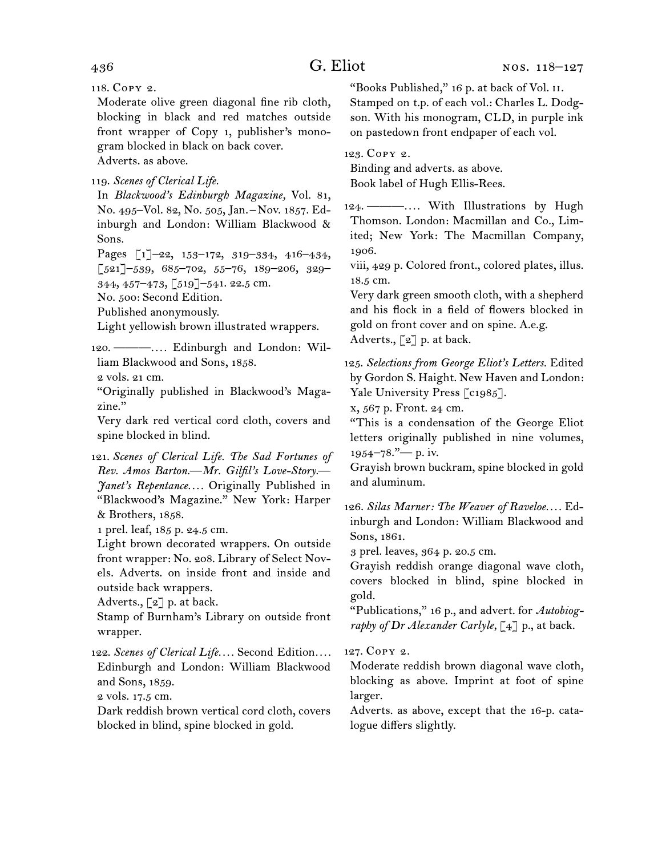## 436 G. Eliot

118.  Copy 2.

Moderate olive green diagonal fine rib cloth, blocking in black and red matches outside front wrapper of Copy 1, publisher's monogram blocked in black on back cover. Adverts. as above.

119.  *Scenes of Clerical Life.*

In *Blackwood's Edinburgh Magazine,* Vol. 81, No. 495–Vol. 82, No. 505, Jan. – Nov. 1857. Edinburgh and London: William Blackwood & Sons.

Pages [1]–22, 153–172, 319–334, 416–434,  $\left[521\right]$ –539, 685–702, 55–76, 189–206, 329–

344, 457–473, [519]–541. 22.5 cm.

No. 500: Second Edition.

Published anonymously.

Light yellowish brown illustrated wrappers.

120.  ———*. . . .* Edinburgh and London: William Blackwood and Sons, 1858.

2 vols. 21 cm.

"Originally published in Blackwood's Magazine."

Very dark red vertical cord cloth, covers and spine blocked in blind.

121.  *Scenes of Clerical Life. The Sad Fortunes of Rev. Amos Barton.—Mr. Gilfil's Love-Story.— Janet's Repentance. . . .* Originally Published in "Blackwood's Magazine." New York: Harper & Brothers, 1858.

1 prel. leaf, 185 p. 24.5 cm.

Light brown decorated wrappers. On outside front wrapper: No. 208. Library of Select Novels. Adverts. on inside front and inside and outside back wrappers.

Adverts.,  $\lceil 2 \rceil$  p. at back.

Stamp of Burnham's Library on outside front wrapper.

122.  *Scenes of Clerical Life. . . .* Second Edition*. . . .* Edinburgh and London: William Blackwood and Sons, 1859.

2 vols. 17.5 cm.

Dark reddish brown vertical cord cloth, covers blocked in blind, spine blocked in gold.

"Books Published," 16 p. at back of Vol. ii. Stamped on t.p. of each vol.: Charles L. Dodgson. With his monogram, CLD, in purple ink on pastedown front endpaper of each vol.

123.  Copy 2.

Binding and adverts. as above. Book label of Hugh Ellis-Rees.

124.  ———*. . . .* With Illustrations by Hugh Thomson. London: Macmillan and Co., Limited; New York: The Macmillan Company, 1906.

viii, 429 p. Colored front., colored plates, illus. 18.5 cm.

Very dark green smooth cloth, with a shepherd and his flock in a field of flowers blocked in gold on front cover and on spine. A.e.g. Adverts., [2] p. at back.

125.  *Selections from George Eliot's Letters.* Edited by Gordon S. Haight. New Haven and London: Yale University Press [c1985].

x, 567 p. Front. 24 cm.

"This is a condensation of the George Eliot letters originally published in nine volumes,  $1954 - 78.$ " — p. iv.

Grayish brown buckram, spine blocked in gold and aluminum.

126.  *Silas Marner: The Weaver of Raveloe. . . .* Edinburgh and London: William Blackwood and Sons, 1861.

3 prel. leaves, 364 p. 20.5 cm.

Grayish reddish orange diagonal wave cloth, covers blocked in blind, spine blocked in gold.

"Publications," 16 p., and advert. for *Autobiography of Dr Alexander Carlyle,* [4] p., at back.

127.  Copy 2.

Moderate reddish brown diagonal wave cloth, blocking as above. Imprint at foot of spine larger.

Adverts. as above, except that the 16-p. catalogue differs slightly.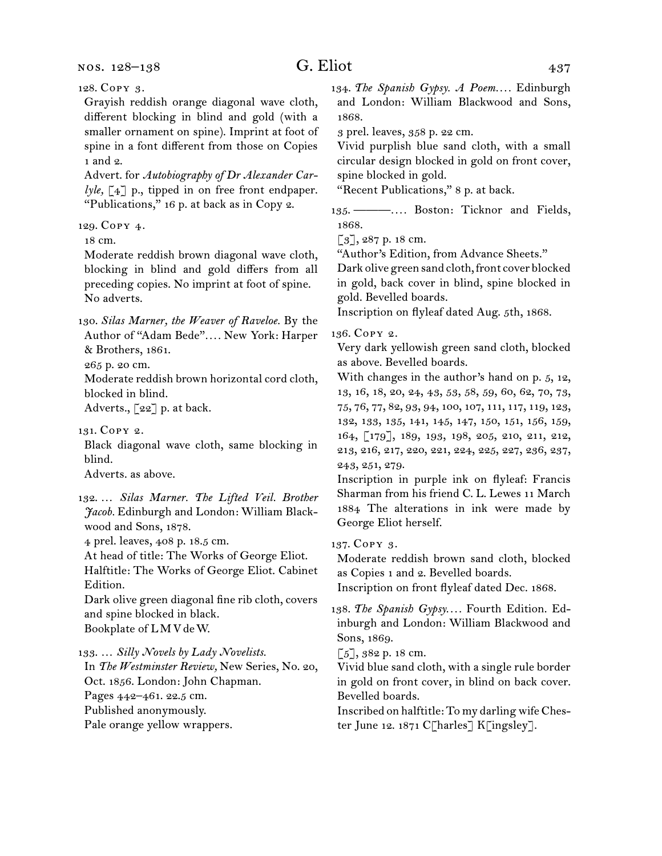nos. 128–138

Grayish reddish orange diagonal wave cloth, different blocking in blind and gold (with a smaller ornament on spine). Imprint at foot of spine in a font different from those on Copies 1 and 2.

Advert. for *Autobiography of Dr Alexander Carlyle,* [4] p., tipped in on free front endpaper. "Publications," 16 p. at back as in Copy 2.

129.  Copy 4.

18 cm.

Moderate reddish brown diagonal wave cloth, blocking in blind and gold differs from all preceding copies. No imprint at foot of spine. No adverts.

130.  *Silas Marner, the Weaver of Raveloe.* By the Author of "Adam Bede"*. . . .* New York: Harper & Brothers, 1861.

265 p. 20 cm.

Moderate reddish brown horizontal cord cloth, blocked in blind.

Adverts., [22] p. at back.

131.  Copy 2.

Black diagonal wave cloth, same blocking in blind.

Adverts. as above.

132.  … *Silas Marner. The Lifted Veil. Brother Jacob.* Edinburgh and London: William Blackwood and Sons, 1878.

4 prel. leaves, 408 p. 18.5 cm.

At head of title: The Works of George Eliot. Halftitle: The Works of George Eliot. Cabinet

Edition.

Dark olive green diagonal fine rib cloth, covers and spine blocked in black. Bookplate of L M V de W.

133.  … *Silly Novels by Lady Novelists.*

In *The Westminster Review,* New Series, No. 20,

Oct. 1856. London: John Chapman. Pages 442–461. 22.5 cm.

Published anonymously.

Pale orange yellow wrappers.

134.  *The Spanish Gypsy. A Poem. . . .* Edinburgh and London: William Blackwood and Sons, 1868.

3 prel. leaves, 358 p. 22 cm.

Vivid purplish blue sand cloth, with a small circular design blocked in gold on front cover, spine blocked in gold.

"Recent Publications," 8 p. at back.

135.  ———*. . . .* Boston: Ticknor and Fields, 1868.

 $[3]$ , 287 p. 18 cm.

"Author's Edition, from Advance Sheets."

Dark olive green sand cloth, front cover blocked in gold, back cover in blind, spine blocked in gold. Bevelled boards.

Inscription on flyleaf dated Aug. 5th, 1868.

136.  Copy 2.

Very dark yellowish green sand cloth, blocked as above. Bevelled boards.

With changes in the author's hand on p. 5, 12, 13, 16, 18, 20, 24, 43, 53, 58, 59, 60, 62, 70, 73, 75, 76, 77, 82, 93, 94, 100, 107, 111, 117, 119, 123, 132, 133, 135, 141, 145, 147, 150, 151, 156, 159, 164, [179], 189, 193, 198, 205, 210, 211, 212, 213, 216, 217, 220, 221, 224, 225, 227, 236, 237, 243, 251, 279.

Inscription in purple ink on flyleaf: Francis Sharman from his friend C. L. Lewes 11 March 1884 The alterations in ink were made by George Eliot herself.

137.  Copy 3.

Moderate reddish brown sand cloth, blocked as Copies 1 and 2. Bevelled boards.

Inscription on front flyleaf dated Dec. 1868.

138.  *The Spanish Gypsy. . . .* Fourth Edition. Edinburgh and London: William Blackwood and Sons, 1869.

[5], 382 p. 18 cm.

Vivid blue sand cloth, with a single rule border in gold on front cover, in blind on back cover. Bevelled boards.

Inscribed on halftitle: To my darling wifeChester June 12. 1871 C[harles] K[ingsley].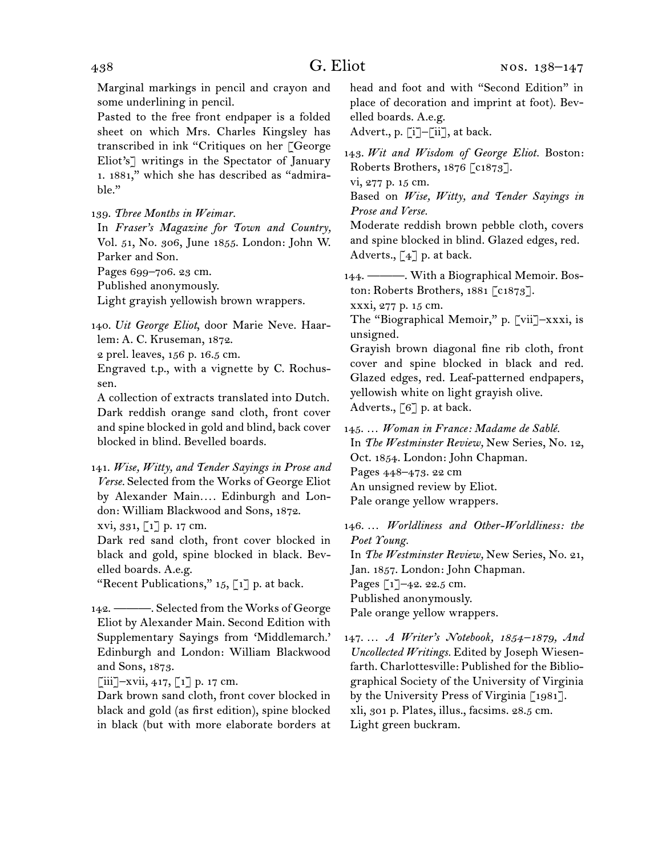Marginal markings in pencil and crayon and some underlining in pencil.

Pasted to the free front endpaper is a folded sheet on which Mrs. Charles Kingsley has transcribed in ink "Critiques on her [George Eliot's] writings in the Spectator of January 1. 1881," which she has described as "admirable."

139.  *Three Months in Weimar.*

In *Fraser's Magazine for Town and Country,*  Vol. 51, No. 306, June 1855. London: John W. Parker and Son.

Pages 699–706. 23 cm.

Published anonymously.

Light grayish yellowish brown wrappers.

140.  *Uit George Eliot*, door Marie Neve. Haarlem: A. C. Kruseman, 1872.

2 prel. leaves, 156 p. 16.5 cm.

Engraved t.p., with a vignette by C. Rochussen.

A collection of extracts translated into Dutch. Dark reddish orange sand cloth, front cover and spine blocked in gold and blind, back cover blocked in blind. Bevelled boards.

141.  *Wise, Witty, and Tender Sayings in Prose and Verse.* Selected from the Works of George Eliot by Alexander Main*. . . .* Edinburgh and London: William Blackwood and Sons, 1872. xvi, 331, [1] p. 17 cm.

Dark red sand cloth, front cover blocked in black and gold, spine blocked in black. Bevelled boards. A.e.g.

"Recent Publications,"  $15$ ,  $\lceil 1 \rceil$  p. at back.

142.  ———. Selected from the Works of George Eliot by Alexander Main. Second Edition with Supplementary Sayings from 'Middlemarch.' Edinburgh and London: William Blackwood and Sons, 1873.

 $\left[\begin{matrix}iii\end{matrix}\right]$ -xvii, 417,  $\left[\begin{matrix}1\end{matrix}\right]$  p. 17 cm.

Dark brown sand cloth, front cover blocked in black and gold (as first edition), spine blocked in black (but with more elaborate borders at

head and foot and with "Second Edition" in place of decoration and imprint at foot). Bevelled boards. A.e.g.

Advert., p. [i]–[ii], at back.

143.  *Wit and Wisdom of George Eliot.* Boston: Roberts Brothers, 1876 [c1873].

vi, 277 p. 15 cm.

Based on *Wise, Witty, and Tender Sayings in Prose and Verse.* 

Moderate reddish brown pebble cloth, covers and spine blocked in blind. Glazed edges, red. Adverts.,  $\lceil 4 \rceil$  p. at back.

144.  ———. With a Biographical Memoir. Boston: Roberts Brothers, 1881 [c1873].

xxxi, 277 p. 15 cm.

The "Biographical Memoir," p. [vii]–xxxi, is unsigned.

Grayish brown diagonal fine rib cloth, front cover and spine blocked in black and red. Glazed edges, red. Leaf-patterned endpapers, yellowish white on light grayish olive. Adverts., [6] p. at back.

145.  … *Woman in France: Madame de Sablé.*

In *The Westminster Review,* New Series, No. 12, Oct. 1854. London: John Chapman. Pages 448–473. 22 cm An unsigned review by Eliot. Pale orange yellow wrappers.

146.  … *Worldliness and Other-Worldliness: the Poet Young.* In *The Westminster Review,* New Series, No. 21, Jan. 1857. London: John Chapman. Pages [1]-42. 22.5 cm. Published anonymously. Pale orange yellow wrappers.

147.  … *A Writer's Notebook, 1854 –1879, And Uncollected Writings.* Edited by Joseph Wiesenfarth. Charlottesville: Published for the Bibliographical Society of the University of Virginia by the University Press of Virginia [1981]. xli, 301 p. Plates, illus., facsims. 28.5 cm. Light green buckram.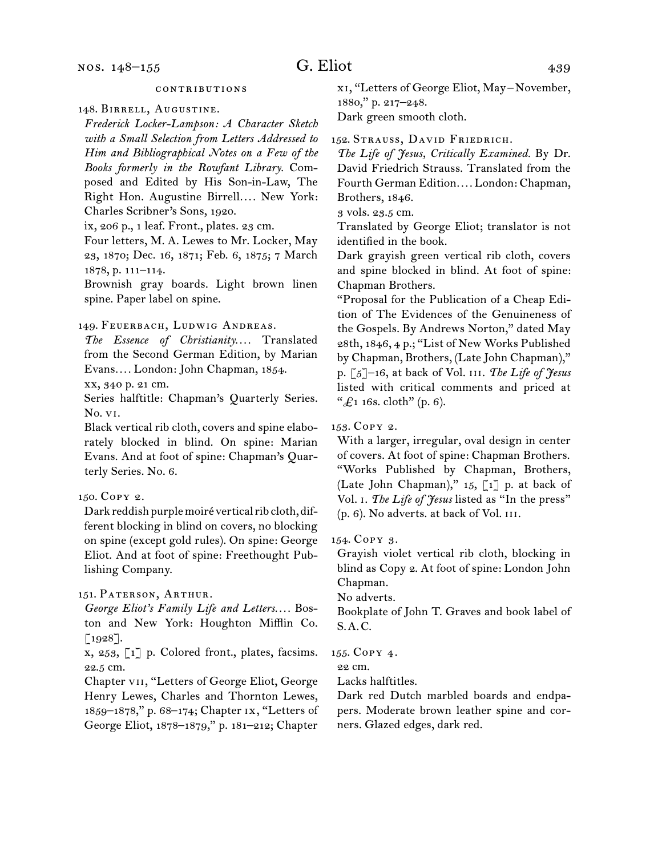#### contributions

148.  Birrell, Augustine.

*Frederick Locker-Lampson: A Character Sketch with a Small Selection from Letters Addressed to Him and Bibliographical Notes on a Few of the Books formerly in the Rowfant Library.* Composed and Edited by His Son-in-Law, The Right Hon. Augustine Birrell.... New York: Charles Scribner's Sons, 1920.

ix, 206 p., 1 leaf. Front., plates. 23 cm.

Four letters, M. A. Lewes to Mr. Locker, May 23, 1870; Dec. 16, 1871; Feb. 6, 1875; 7 March 1878, p. 111–114.

Brownish gray boards. Light brown linen spine. Paper label on spine.

## 149.  Feuerbach, Ludwig Andreas.

*The Essence of Christianity. . . .* Translated from the Second German Edition, by Marian Evans*. . . .* London: John Chapman, 1854.

xx, 340 p. 21 cm.

Series halftitle: Chapman's Quarterly Series. No. vi.

Black vertical rib cloth, covers and spine elaborately blocked in blind. On spine: Marian Evans. And at foot of spine: Chapman's Quarterly Series. No. 6.

## 150.  Copy 2.

Dark reddish purple moiré vertical rib cloth, different blocking in blind on covers, no blocking on spine (except gold rules). On spine: George Eliot. And at foot of spine: Freethought Publishing Company.

## 151.  Paterson, Arthur.

*George Eliot's Family Life and Letters. . . .* Boston and New York: Houghton Mifflin Co.  $[1928]$ .

x, 253, [1] p. Colored front., plates, facsims. 22.5 cm.

Chapter vii, "Letters of George Eliot, George Henry Lewes, Charles and Thornton Lewes, 1859–1878," p. 68–174; Chapter ix, "Letters of George Eliot, 1878–1879," p. 181–212; Chapter

xi, "Letters of George Eliot, May – November, 1880," p. 217–248.

Dark green smooth cloth.

152.  Strauss, David Friedrich.

*The Life of Jesus, Critically Examined.* By Dr. David Friedrich Strauss. Translated from the Fourth German Edition*. . . .* London: Chapman, Brothers, 1846.

3 vols. 23.5 cm.

Translated by George Eliot; translator is not identified in the book.

Dark grayish green vertical rib cloth, covers and spine blocked in blind. At foot of spine: Chapman Brothers.

"Proposal for the Publication of a Cheap Edition of The Evidences of the Genuineness of the Gospels. By Andrews Norton," dated May 28th, 1846, 4 p.; "List of New Works Published by Chapman, Brothers, (Late John Chapman)," p. [5]–16, at back of Vol. iii. *The Life of Jesus*  listed with critical comments and priced at " $\pounds$ 1 16s. cloth" (p. 6).

153.  Copy 2.

With a larger, irregular, oval design in center of covers. At foot of spine: Chapman Brothers. "Works Published by Chapman, Brothers, (Late John Chapman)," 15, [1] p. at back of Vol. i. *The Life of Jesus* listed as "In the press" (p. 6). No adverts. at back of Vol. iii.

154.  Copy 3.

Grayish violet vertical rib cloth, blocking in blind as Copy 2. At foot of spine: London John Chapman.

No adverts.

Bookplate of John T. Graves and book label of S. A. C.

155.  Copy 4.

22 cm.

Lacks halftitles.

Dark red Dutch marbled boards and endpapers. Moderate brown leather spine and corners. Glazed edges, dark red.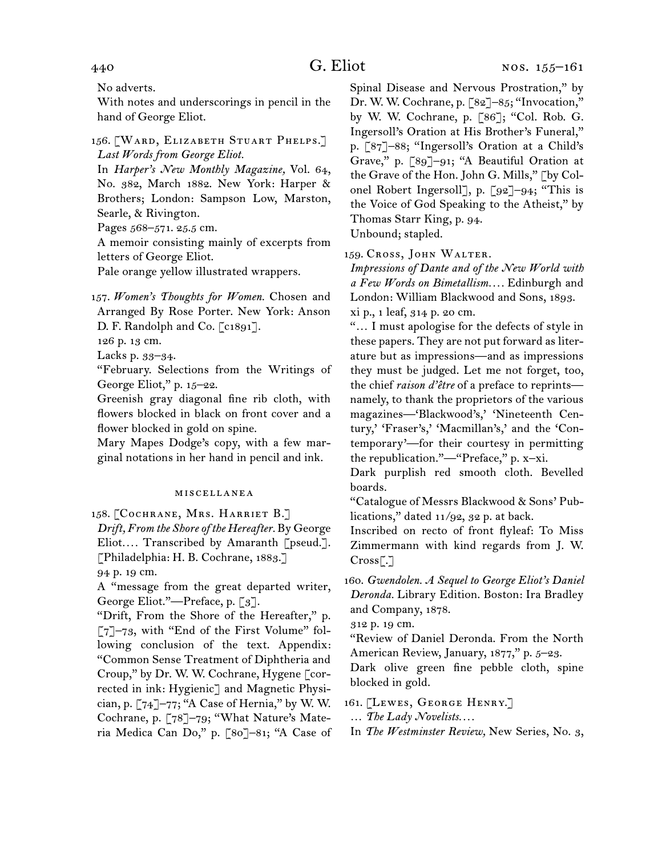No adverts.

With notes and underscorings in pencil in the hand of George Eliot.

156.  [Ward, Elizabeth Stuart Phelps.] *Last Words from George Eliot.*

In *Harper's New Monthly Magazine,* Vol. 64, No. 382, March 1882. New York: Harper & Brothers; London: Sampson Low, Marston, Searle, & Rivington.

Pages 568–571. 25.5 cm.

A memoir consisting mainly of excerpts from letters of George Eliot.

Pale orange yellow illustrated wrappers.

157.  *Women's Thoughts for Women.* Chosen and Arranged By Rose Porter. New York: Anson D. F. Randolph and Co. [c1891].

126 p. 13 cm.

Lacks p. 33–34.

"February. Selections from the Writings of George Eliot," p. 15–22.

Greenish gray diagonal fine rib cloth, with flowers blocked in black on front cover and a flower blocked in gold on spine.

Mary Mapes Dodge's copy, with a few marginal notations in her hand in pencil and ink.

#### miscellanea

158.  [Cochrane, Mrs. Harriet B.] *Drift, From the Shore of the Hereafter.* By George Eliot.... Transcribed by Amaranth [pseud.]. [Philadelphia: H. B. Cochrane, 1883.] 94 p. 19 cm.

A "message from the great departed writer, George Eliot."—Preface, p. [3].

"Drift, From the Shore of the Hereafter," p.  $\lceil 7 \rceil$ –73, with "End of the First Volume" following conclusion of the text. Appendix: "Common Sense Treatment of Diphtheria and Croup," by Dr. W. W. Cochrane, Hygene [corrected in ink: Hygienic] and Magnetic Physician, p.  $\lceil 74 \rceil$ –77; "A Case of Hernia," by W. W. Cochrane, p. [78]–79; "What Nature's Materia Medica Can Do," p. [80]–81; "A Case of

Spinal Disease and Nervous Prostration," by Dr. W. W. Cochrane, p. [82]–85; "Invocation," by W. W. Cochrane, p. [86]; "Col. Rob. G. Ingersoll's Oration at His Brother's Funeral," p. [87]–88; "Ingersoll's Oration at a Child's Grave," p. [89]–91; "A Beautiful Oration at the Grave of the Hon. John G. Mills," [by Colonel Robert Ingersoll], p. [92]–94; "This is the Voice of God Speaking to the Atheist," by Thomas Starr King, p. 94. Unbound; stapled.

159.  Cross, John Walter.

*Impressions of Dante and of the New World with a Few Words on Bimetallism. . . .* Edinburgh and London: William Blackwood and Sons, 1893. xi p., 1 leaf, 314 p. 20 cm.

"… I must apologise for the defects of style in these papers. They are not put forward as literature but as impressions—and as impressions they must be judged. Let me not forget, too, the chief *raison d'être* of a preface to reprints namely, to thank the proprietors of the various magazines—'Blackwood's,' 'Nineteenth Century,' 'Fraser's,' 'Macmillan's,' and the 'Contemporary'—for their courtesy in permitting the republication."—"Preface," p. x–xi.

Dark purplish red smooth cloth. Bevelled boards.

"Catalogue of Messrs Blackwood & Sons' Publications," dated 11/92, 32 p. at back.

Inscribed on recto of front flyleaf: To Miss Zimmermann with kind regards from J. W. Cross[.]

160.  *Gwendolen. A Sequel to George Eliot's Daniel Deronda.* Library Edition. Boston: Ira Bradley and Company, 1878.

312 p. 19 cm.

"Review of Daniel Deronda. From the North American Review, January, 1877," p. 5-23.

Dark olive green fine pebble cloth, spine blocked in gold.

161.  [Lewes, George Henry.]

… *The Lady Novelists. . . .*

In *The Westminster Review,* New Series, No. 3,